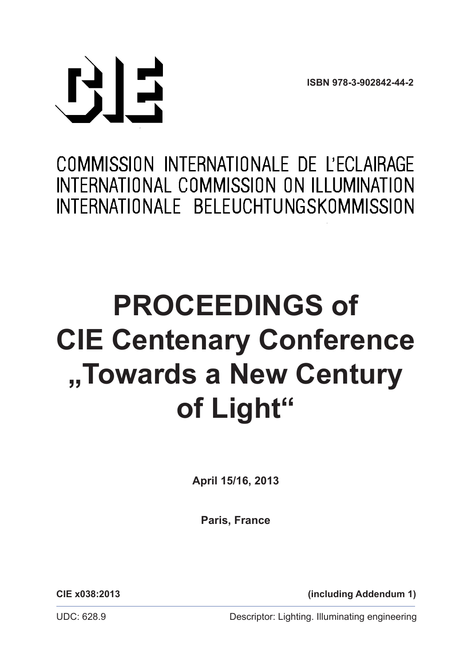**ISBN 978-3-902842-44-2**



# COMMISSION INTERNATIONALE DE L'ECLAIRAGE INTERNATIONAL COMMISSION ON ILLUMINATION INTERNATIONALE BELEUCHTUNGSKOMMISSION

## **Property Conferent Towards a New Century and Elizabeth Elizabeth Company PROCEEDINGS of CIE Centenary Conference "Towards a New Century of Light"**

**April 15/16, 2013**

**Paris, France**

**CIE x038:2013 (including Addendum 1)**

UDC: 628.9 Descriptor: Lighting. Illuminating engineering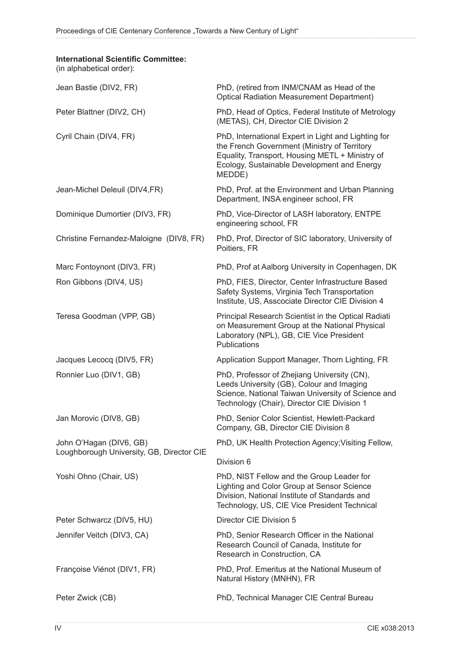### **International Scientific Committee:**

(in alphabetical order):

| Jean Bastie (DIV2, FR)                    | PhD, (retired from INM/CNAM as Head of the<br><b>Optical Radiation Measurement Department)</b>                                                                                                                  |
|-------------------------------------------|-----------------------------------------------------------------------------------------------------------------------------------------------------------------------------------------------------------------|
| Peter Blattner (DIV2, CH)                 | PhD, Head of Optics, Federal Institute of Metrology<br>(METAS), CH, Director CIE Division 2                                                                                                                     |
| Cyril Chain (DIV4, FR)                    | PhD, International Expert in Light and Lighting for<br>the French Government (Ministry of Territory<br>Equality, Transport, Housing METL + Ministry of<br>Ecology, Sustainable Development and Energy<br>MEDDE) |
| Jean-Michel Deleuil (DIV4,FR)             | PhD, Prof. at the Environment and Urban Planning<br>Department, INSA engineer school, FR                                                                                                                        |
| Dominique Dumortier (DIV3, FR)            | PhD, Vice-Director of LASH laboratory, ENTPE<br>engineering school, FR                                                                                                                                          |
| Christine Fernandez-Maloigne (DIV8, FR)   | PhD, Prof, Director of SIC laboratory, University of<br>Poitiers, FR                                                                                                                                            |
| Marc Fontoynont (DIV3, FR)                | PhD, Prof at Aalborg University in Copenhagen, DK                                                                                                                                                               |
| Ron Gibbons (DIV4, US)                    | PhD, FIES, Director, Center Infrastructure Based<br>Safety Systems, Virginia Tech Transportation<br>Institute, US, Asscociate Director CIE Division 4                                                           |
| Teresa Goodman (VPP, GB)                  | Principal Research Scientist in the Optical Radiati<br>on Measurement Group at the National Physical<br>Laboratory (NPL), GB, CIE Vice President<br>Publications                                                |
| Jacques Lecocq (DIV5, FR)                 | Application Support Manager, Thorn Lighting, FR                                                                                                                                                                 |
| Ronnier Luo (DIV1, GB)                    | PhD, Professor of Zhejiang University (CN),<br>Leeds University (GB), Colour and Imaging<br>Science, National Taiwan University of Science and<br>Technology (Chair), Director CIE Division 1                   |
| Jan Morovic (DIV8, GB)                    | PhD, Senior Color Scientist, Hewlett-Packard<br>Company, GB, Director CIE Division 8                                                                                                                            |
| John O'Hagan (DIV6, GB)                   | PhD, UK Health Protection Agency; Visiting Fellow,                                                                                                                                                              |
| Loughborough University, GB, Director CIE | Division 6                                                                                                                                                                                                      |
| Yoshi Ohno (Chair, US)                    | PhD, NIST Fellow and the Group Leader for<br>Lighting and Color Group at Sensor Science<br>Division, National Institute of Standards and<br>Technology, US, CIE Vice President Technical                        |
| Peter Schwarcz (DIV5, HU)                 | Director CIE Division 5                                                                                                                                                                                         |
| Jennifer Veitch (DIV3, CA)                | PhD, Senior Research Officer in the National<br>Research Council of Canada, Institute for<br>Research in Construction, CA                                                                                       |
| Françoise Viénot (DIV1, FR)               | PhD, Prof. Emeritus at the National Museum of<br>Natural History (MNHN), FR                                                                                                                                     |
| Peter Zwick (CB)                          | PhD, Technical Manager CIE Central Bureau                                                                                                                                                                       |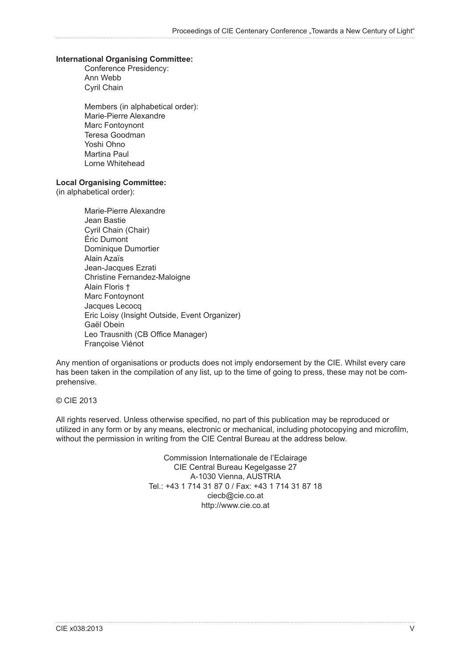#### **International Organising Committee:**

Conference Presidency: Ann Webb Cyril Chain

Members (in alphabetical order): Marie-Pierre Alexandre Marc Fontoynont Teresa Goodman Yoshi Ohno Martina Paul Lorne Whitehead

#### **Local Organising Committee:**

(in alphabetical order):

Marie-Pierre Alexandre Jean Bastie Cyril Chain (Chair) Éric Dumont Dominique Dumortier Alain Azaïs Jean-Jacques Ezrati Christine Fernandez-Maloigne Alain Floris † Marc Fontoynont Jacques Lecocq Eric Loisy (Insight Outside, Event Organizer) Gaël Obein Leo Trausnith (CB Office Manager) Françoise Viénot

Any mention of organisations or products does not imply endorsement by the CIE. Whilst every care has been taken in the compilation of any list, up to the time of going to press, these may not be comprehensive.

#### © CIE 2013

All rights reserved. Unless otherwise specified, no part of this publication may be reproduced or utilized in any form or by any means, electronic or mechanical, including photocopying and microfilm, without the permission in writing from the CIE Central Bureau at the address below.

> Commission Internationale de l'Eclairage CIE Central Bureau Kegelgasse 27 A-1030 Vienna, AUSTRIA Tel.: +43 1 714 31 87 0 / Fax: +43 1 714 31 87 18 ciecb@cie.co.at http://www.cie.co.at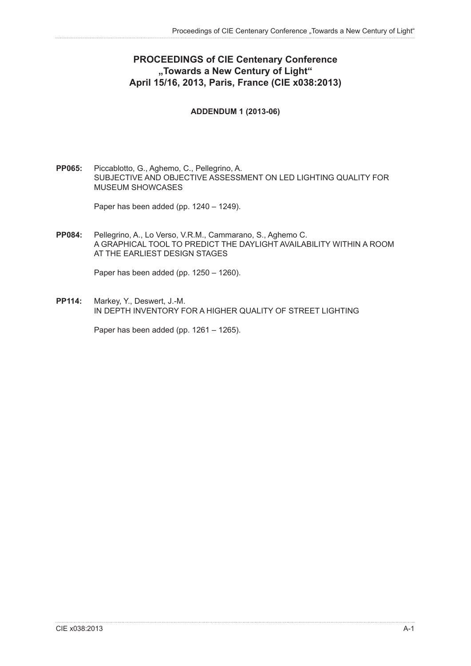## **PROCEEDINGS of CIE Centenary Conference "Towards a New Century of Light" April 15/16, 2013, Paris, France (CIE x038:2013)**

#### **ADDENDUM 1 (2013-06)**

**PP065:** Piccablotto, G., Aghemo, C., Pellegrino, A. SUBJECTIVE AND OBJECTIVE ASSESSMENT ON LED LIGHTING QUALITY FOR MUSEUM SHOWCASES

Paper has been added (pp. 1240 – 1249).

**PP084:** Pellegrino, A., Lo Verso, V.R.M., Cammarano, S., Aghemo C. A GRAPHICAL TOOL TO PREDICT THE DAYLIGHT AVAILABILITY WITHIN A ROOM AT THE EARLIEST DESIGN STAGES

Paper has been added (pp. 1250 – 1260).

**PP114:** Markey, Y., Deswert, J.-M. IN DEPTH INVENTORY FOR A HIGHER QUALITY OF STREET LIGHTING

Paper has been added (pp. 1261 – 1265).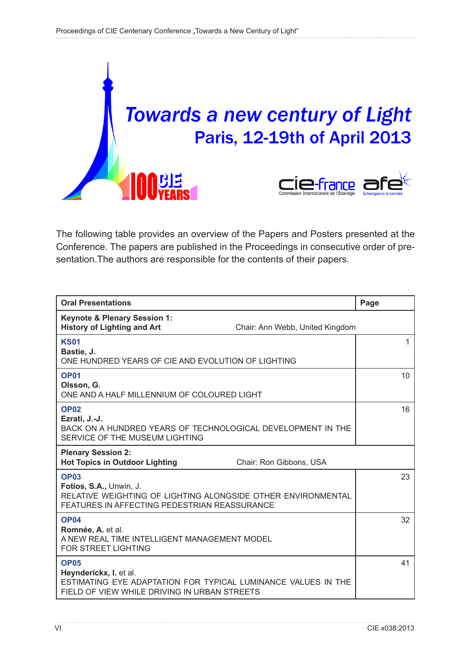

The following table provides an overview of the Papers and Posters presented at the Conference. The papers are published in the Proceedings in consecutive order of presentation.The authors are responsible for the contents of their papers.

| <b>Oral Presentations</b>                                                                                                                              | Page |
|--------------------------------------------------------------------------------------------------------------------------------------------------------|------|
| <b>Keynote &amp; Plenary Session 1:</b><br><b>History of Lighting and Art</b><br>Chair: Ann Webb, United Kingdom                                       |      |
| <b>KS01</b><br>Bastie, J.<br>ONE HUNDRED YEARS OF CIE AND EVOLUTION OF LIGHTING                                                                        | 1    |
| <b>OP01</b><br>Olsson, G.<br>ONE AND A HALF MILLENNIUM OF COLOURED LIGHT                                                                               | 10   |
| <b>OP02</b><br>Ezrati, J.-J.<br>BACK ON A HUNDRED YEARS OF TECHNOLOGICAL DEVELOPMENT IN THE<br>SERVICE OF THE MUSEUM LIGHTING                          | 16   |
| <b>Plenary Session 2:</b><br><b>Hot Topics in Outdoor Lighting</b><br>Chair: Ron Gibbons, USA                                                          |      |
| <b>OP03</b><br>Fotios, S.A., Unwin, J.<br>RELATIVE WEIGHTING OF LIGHTING ALONGSIDE OTHER ENVIRONMENTAL<br>FEATURES IN AFFECTING PEDESTRIAN REASSURANCE | 23   |
| <b>OP04</b><br>Romnée, A. et al.<br>A NEW REAL TIME INTELLIGENT MANAGEMENT MODEL<br><b>FOR STREET LIGHTING</b>                                         | 32   |
| <b>OP05</b><br>Heynderickx, I. et al.<br>ESTIMATING EYE ADAPTATION FOR TYPICAL LUMINANCE VALUES IN THE<br>FIELD OF VIEW WHILE DRIVING IN URBAN STREETS | 41   |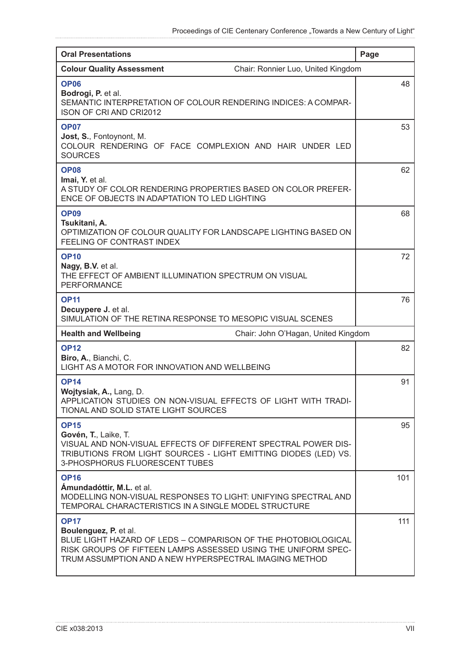| <b>Oral Presentations</b>                                                                                                                                                                                                        | Page |
|----------------------------------------------------------------------------------------------------------------------------------------------------------------------------------------------------------------------------------|------|
| Chair: Ronnier Luo, United Kingdom<br><b>Colour Quality Assessment</b>                                                                                                                                                           |      |
| <b>OP06</b><br>Bodrogi, P. et al.<br>SEMANTIC INTERPRETATION OF COLOUR RENDERING INDICES: A COMPAR-<br><b>ISON OF CRI AND CRI2012</b>                                                                                            | 48   |
| <b>OP07</b><br>Jost, S., Fontoynont, M.<br>COLOUR RENDERING OF FACE COMPLEXION AND HAIR UNDER LED<br><b>SOURCES</b>                                                                                                              | 53   |
| <b>OP08</b><br>Imai, Y. et al.<br>A STUDY OF COLOR RENDERING PROPERTIES BASED ON COLOR PREFER-<br>ENCE OF OBJECTS IN ADAPTATION TO LED LIGHTING                                                                                  | 62   |
| <b>OP09</b><br>Tsukitani, A.<br>OPTIMIZATION OF COLOUR QUALITY FOR LANDSCAPE LIGHTING BASED ON<br>FEELING OF CONTRAST INDEX                                                                                                      | 68   |
| <b>OP10</b><br>Nagy, B.V. et al.<br>THE EFFECT OF AMBIENT ILLUMINATION SPECTRUM ON VISUAL<br><b>PERFORMANCE</b>                                                                                                                  | 72   |
| <b>OP11</b><br>Decuypere J. et al.<br>SIMULATION OF THE RETINA RESPONSE TO MESOPIC VISUAL SCENES                                                                                                                                 | 76   |
| <b>Health and Wellbeing</b><br>Chair: John O'Hagan, United Kingdom                                                                                                                                                               |      |
| <b>OP12</b><br>Biro, A., Bianchi, C.<br>LIGHT AS A MOTOR FOR INNOVATION AND WELLBEING                                                                                                                                            | 82   |
| <b>OP14</b><br>Wojtysiak, A., Lang, D.<br>APPLICATION STUDIES ON NON-VISUAL EFFECTS OF LIGHT WITH TRADI-<br>TIONAL AND SOLID STATE LIGHT SOURCES                                                                                 | 91   |
| <b>OP15</b><br>Govén, T., Laike, T.<br>VISUAL AND NON-VISUAL EFFECTS OF DIFFERENT SPECTRAL POWER DIS-<br>TRIBUTIONS FROM LIGHT SOURCES - LIGHT EMITTING DIODES (LED) VS.<br>3-PHOSPHORUS FLUORESCENT TUBES                       | 95   |
| <b>OP16</b><br>Amundadóttir, M.L. et al.<br>MODELLING NON-VISUAL RESPONSES TO LIGHT: UNIFYING SPECTRAL AND<br>TEMPORAL CHARACTERISTICS IN A SINGLE MODEL STRUCTURE                                                               | 101  |
| <b>OP17</b><br>Boulenguez, P. et al.<br>BLUE LIGHT HAZARD OF LEDS - COMPARISON OF THE PHOTOBIOLOGICAL<br>RISK GROUPS OF FIFTEEN LAMPS ASSESSED USING THE UNIFORM SPEC-<br>TRUM ASSUMPTION AND A NEW HYPERSPECTRAL IMAGING METHOD | 111  |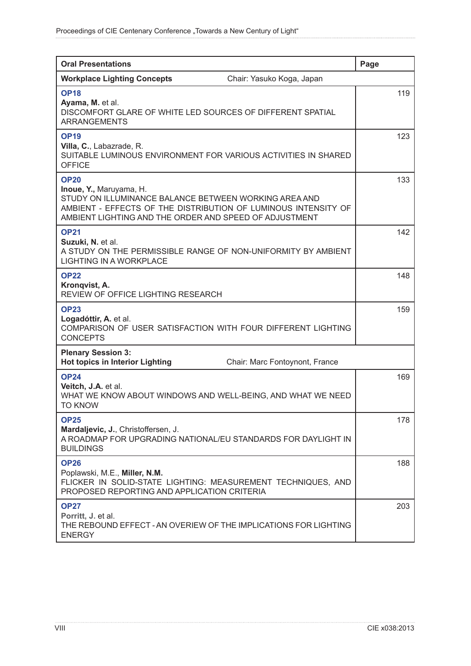| <b>Oral Presentations</b>                                                                                                                                                                                                   | Page |
|-----------------------------------------------------------------------------------------------------------------------------------------------------------------------------------------------------------------------------|------|
| <b>Workplace Lighting Concepts</b><br>Chair: Yasuko Koga, Japan                                                                                                                                                             |      |
| <b>OP18</b><br>Ayama, M. et al.<br>DISCOMFORT GLARE OF WHITE LED SOURCES OF DIFFERENT SPATIAL<br><b>ARRANGEMENTS</b>                                                                                                        | 119  |
| <b>OP19</b><br>Villa, C., Labazrade, R.<br>SUITABLE LUMINOUS ENVIRONMENT FOR VARIOUS ACTIVITIES IN SHARED<br><b>OFFICE</b>                                                                                                  | 123  |
| <b>OP20</b><br>Inoue, Y., Maruyama, H.<br>STUDY ON ILLUMINANCE BALANCE BETWEEN WORKING AREA AND<br>AMBIENT - EFFECTS OF THE DISTRIBUTION OF LUMINOUS INTENSITY OF<br>AMBIENT LIGHTING AND THE ORDER AND SPEED OF ADJUSTMENT | 133  |
| <b>OP21</b><br>Suzuki, N. et al.<br>A STUDY ON THE PERMISSIBLE RANGE OF NON-UNIFORMITY BY AMBIENT<br><b>LIGHTING IN A WORKPLACE</b>                                                                                         | 142  |
| <b>OP22</b><br>Kronqvist, A.<br>REVIEW OF OFFICE LIGHTING RESEARCH                                                                                                                                                          | 148  |
| <b>OP23</b><br>Logadóttir, A. et al.<br>COMPARISON OF USER SATISFACTION WITH FOUR DIFFERENT LIGHTING<br><b>CONCEPTS</b>                                                                                                     | 159  |
| <b>Plenary Session 3:</b><br><b>Hot topics in Interior Lighting</b><br>Chair: Marc Fontoynont, France                                                                                                                       |      |
| <b>OP24</b><br>Veitch, J.A. et al.<br>WHAT WE KNOW ABOUT WINDOWS AND WELL-BEING, AND WHAT WE NEED<br><b>TO KNOW</b>                                                                                                         | 169  |
| <b>OP25</b><br>Mardaljevic, J., Christoffersen, J.<br>A ROADMAP FOR UPGRADING NATIONAL/EU STANDARDS FOR DAYLIGHT IN<br><b>BUILDINGS</b>                                                                                     | 178  |
| <b>OP26</b><br>Poplawski, M.E., Miller, N.M.<br>FLICKER IN SOLID-STATE LIGHTING: MEASUREMENT TECHNIQUES, AND<br>PROPOSED REPORTING AND APPLICATION CRITERIA                                                                 | 188  |
| <b>OP27</b><br>Porritt, J. et al.<br>THE REBOUND EFFECT - AN OVERIEW OF THE IMPLICATIONS FOR LIGHTING<br><b>ENERGY</b>                                                                                                      | 203  |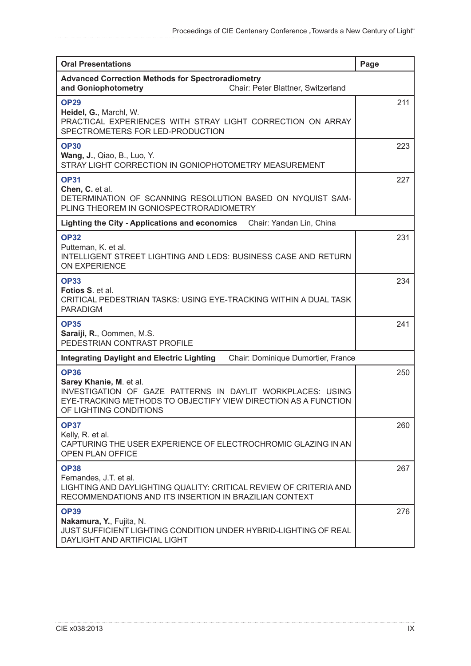| <b>Oral Presentations</b>                                                                                                                                                                        | Page |
|--------------------------------------------------------------------------------------------------------------------------------------------------------------------------------------------------|------|
| <b>Advanced Correction Methods for Spectroradiometry</b><br>and Goniophotometry<br>Chair: Peter Blattner, Switzerland                                                                            |      |
| <b>OP29</b><br>Heidel, G., Marchl, W.<br>PRACTICAL EXPERIENCES WITH STRAY LIGHT CORRECTION ON ARRAY<br>SPECTROMETERS FOR LED-PRODUCTION                                                          | 211  |
| <b>OP30</b><br><b>Wang, J., Qiao, B., Luo, Y.</b><br>STRAY LIGHT CORRECTION IN GONIOPHOTOMETRY MEASUREMENT                                                                                       | 223  |
| <b>OP31</b><br>Chen, C. et al.<br>DETERMINATION OF SCANNING RESOLUTION BASED ON NYQUIST SAM-<br>PLING THEOREM IN GONIOSPECTRORADIOMETRY                                                          | 227  |
| Lighting the City - Applications and economics Chair: Yandan Lin, China                                                                                                                          |      |
| <b>OP32</b><br>Putteman, K. et al.<br><b>INTELLIGENT STREET LIGHTING AND LEDS: BUSINESS CASE AND RETURN</b><br><b>ON EXPERIENCE</b>                                                              | 231  |
| <b>OP33</b><br>Fotios S. et al.<br>CRITICAL PEDESTRIAN TASKS: USING EYE-TRACKING WITHIN A DUAL TASK<br><b>PARADIGM</b>                                                                           | 234  |
| <b>OP35</b><br>Saraiji, R., Oommen, M.S.<br>PEDESTRIAN CONTRAST PROFILE                                                                                                                          | 241  |
| Chair: Dominique Dumortier, France<br><b>Integrating Daylight and Electric Lighting</b>                                                                                                          |      |
| <b>OP36</b><br>Sarey Khanie, M. et al.<br>INVESTIGATION OF GAZE PATTERNS IN DAYLIT WORKPLACES: USING<br>EYE-TRACKING METHODS TO OBJECTIFY VIEW DIRECTION AS A FUNCTION<br>OF LIGHTING CONDITIONS | 250  |
| <b>OP37</b><br>Kelly, R. et al.<br>CAPTURING THE USER EXPERIENCE OF ELECTROCHROMIC GLAZING IN AN<br><b>OPEN PLAN OFFICE</b>                                                                      | 260  |
| <b>OP38</b><br>Fernandes, J.T. et al.<br>LIGHTING AND DAYLIGHTING QUALITY: CRITICAL REVIEW OF CRITERIA AND<br>RECOMMENDATIONS AND ITS INSERTION IN BRAZILIAN CONTEXT                             | 267  |
| <b>OP39</b><br>Nakamura, Y., Fujita, N.<br>JUST SUFFICIENT LIGHTING CONDITION UNDER HYBRID-LIGHTING OF REAL<br>DAYLIGHT AND ARTIFICIAL LIGHT                                                     | 276  |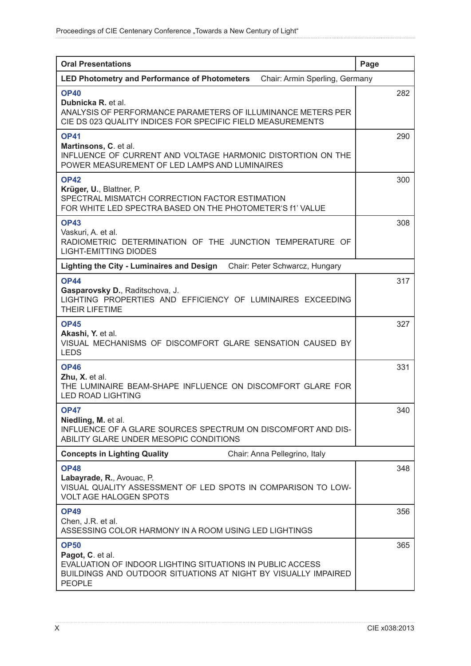| <b>Oral Presentations</b>                                                                                                                                                | Page |
|--------------------------------------------------------------------------------------------------------------------------------------------------------------------------|------|
| <b>LED Photometry and Performance of Photometers</b><br>Chair: Armin Sperling, Germany                                                                                   |      |
| <b>OP40</b><br>Dubnicka R. et al.<br>ANALYSIS OF PERFORMANCE PARAMETERS OF ILLUMINANCE METERS PER<br>CIE DS 023 QUALITY INDICES FOR SPECIFIC FIELD MEASUREMENTS          | 282  |
| <b>OP41</b><br>Martinsons, C. et al.<br>INFLUENCE OF CURRENT AND VOLTAGE HARMONIC DISTORTION ON THE<br>POWER MEASUREMENT OF LED LAMPS AND LUMINAIRES                     | 290  |
| <b>OP42</b><br>Krüger, U., Blattner, P.<br>SPECTRAL MISMATCH CORRECTION FACTOR ESTIMATION<br>FOR WHITE LED SPECTRA BASED ON THE PHOTOMETER'S f1' VALUE                   | 300  |
| <b>OP43</b><br>Vaskuri, A. et al.<br>RADIOMETRIC DETERMINATION OF THE JUNCTION TEMPERATURE OF<br><b>LIGHT-EMITTING DIODES</b>                                            | 308  |
| Lighting the City - Luminaires and Design<br>Chair: Peter Schwarcz, Hungary                                                                                              |      |
| <b>OP44</b><br>Gasparovsky D., Raditschova, J.<br>LIGHTING PROPERTIES AND EFFICIENCY OF LUMINAIRES EXCEEDING<br>THEIR LIFETIME                                           | 317  |
| <b>OP45</b><br>Akashi, Y. et al.<br>VISUAL MECHANISMS OF DISCOMFORT GLARE SENSATION CAUSED BY<br><b>LEDS</b>                                                             | 327  |
| <b>OP46</b><br>Zhu, X. et al.<br>THE LUMINAIRE BEAM-SHAPE INFLUENCE ON DISCOMFORT GLARE FOR<br><b>LED ROAD LIGHTING</b>                                                  | 331  |
| <b>OP47</b><br>Niedling, M. et al.<br>INFLUENCE OF A GLARE SOURCES SPECTRUM ON DISCOMFORT AND DIS-<br>ABILITY GLARE UNDER MESOPIC CONDITIONS                             | 340  |
| <b>Concepts in Lighting Quality</b><br>Chair: Anna Pellegrino, Italy                                                                                                     |      |
| <b>OP48</b><br>Labayrade, R., Avouac, P.<br>VISUAL QUALITY ASSESSMENT OF LED SPOTS IN COMPARISON TO LOW-<br><b>VOLT AGE HALOGEN SPOTS</b>                                | 348  |
| <b>OP49</b><br>Chen, J.R. et al.<br>ASSESSING COLOR HARMONY IN A ROOM USING LED LIGHTINGS                                                                                | 356  |
| <b>OP50</b><br>Pagot, C. et al.<br>EVALUATION OF INDOOR LIGHTING SITUATIONS IN PUBLIC ACCESS<br>BUILDINGS AND OUTDOOR SITUATIONS AT NIGHT BY VISUALLY IMPAIRED<br>PEOPLE | 365  |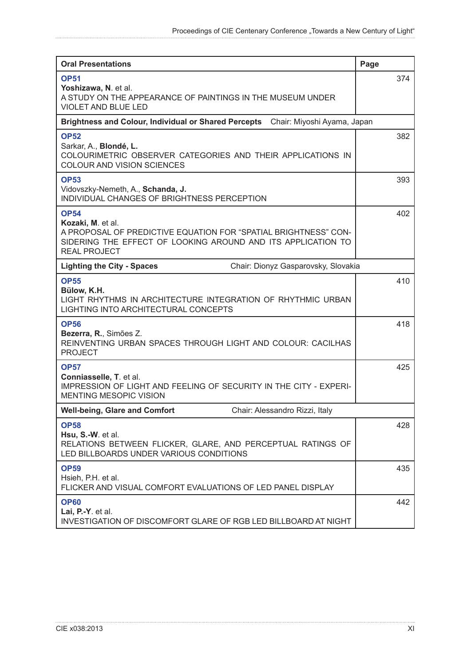| <b>Oral Presentations</b>                                                                                                                                                                  | Page |
|--------------------------------------------------------------------------------------------------------------------------------------------------------------------------------------------|------|
| <b>OP51</b><br>Yoshizawa, N. et al.<br>A STUDY ON THE APPEARANCE OF PAINTINGS IN THE MUSEUM UNDER<br><b>VIOLET AND BLUE LED</b>                                                            | 374  |
| <b>Brightness and Colour, Individual or Shared Percepts</b><br>Chair: Miyoshi Ayama, Japan                                                                                                 |      |
| <b>OP52</b><br>Sarkar, A., Blondé, L.<br>COLOURIMETRIC OBSERVER CATEGORIES AND THEIR APPLICATIONS IN<br>COLOUR AND VISION SCIENCES                                                         | 382  |
| <b>OP53</b><br>Vidovszky-Nemeth, A., Schanda, J.<br>INDIVIDUAL CHANGES OF BRIGHTNESS PERCEPTION                                                                                            | 393  |
| <b>OP54</b><br>Kozaki, M. et al.<br>A PROPOSAL OF PREDICTIVE EQUATION FOR "SPATIAL BRIGHTNESS" CON-<br>SIDERING THE EFFECT OF LOOKING AROUND AND ITS APPLICATION TO<br><b>REAL PROJECT</b> | 402  |
| Chair: Dionyz Gasparovsky, Slovakia<br><b>Lighting the City - Spaces</b>                                                                                                                   |      |
| <b>OP55</b><br>Bülow, K.H.<br>LIGHT RHYTHMS IN ARCHITECTURE INTEGRATION OF RHYTHMIC URBAN<br>LIGHTING INTO ARCHITECTURAL CONCEPTS                                                          | 410  |
| <b>OP56</b><br>Bezerra, R., Simões Z.<br>REINVENTING URBAN SPACES THROUGH LIGHT AND COLOUR: CACILHAS<br><b>PROJECT</b>                                                                     | 418  |
| <b>OP57</b><br>Conniasselle, T. et al.<br><b>IMPRESSION OF LIGHT AND FEELING OF SECURITY IN THE CITY - EXPERI-</b><br>MENTING MESOPIC VISION                                               | 425  |
| <b>Well-being, Glare and Comfort</b><br>Chair: Alessandro Rizzi, Italy                                                                                                                     |      |
| <b>OP58</b><br>Hsu, S.-W. et al.<br>RELATIONS BETWEEN FLICKER, GLARE, AND PERCEPTUAL RATINGS OF<br>LED BILLBOARDS UNDER VARIOUS CONDITIONS                                                 | 428  |
| <b>OP59</b><br>Hsieh, P.H. et al.<br>FLICKER AND VISUAL COMFORT EVALUATIONS OF LED PANEL DISPLAY                                                                                           | 435  |
| <b>OP60</b><br>Lai, P.-Y. et al.<br>INVESTIGATION OF DISCOMFORT GLARE OF RGB LED BILLBOARD AT NIGHT                                                                                        | 442  |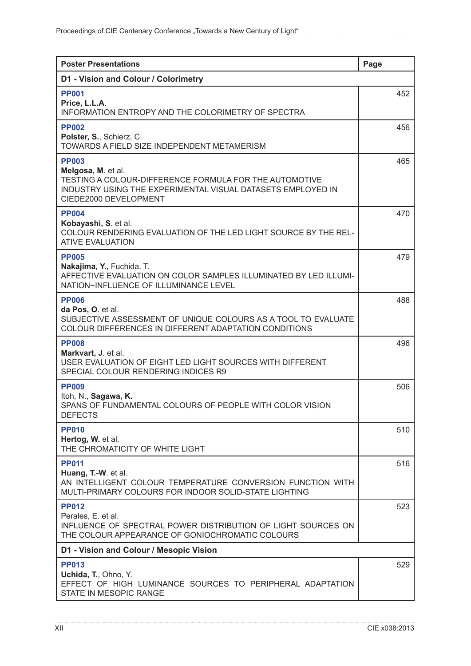| <b>Poster Presentations</b>                                                                                                                                                          | Page |
|--------------------------------------------------------------------------------------------------------------------------------------------------------------------------------------|------|
| D1 - Vision and Colour / Colorimetry                                                                                                                                                 |      |
| <b>PP001</b><br>Price, L.L.A.<br>INFORMATION ENTROPY AND THE COLORIMETRY OF SPECTRA                                                                                                  | 452  |
| <b>PP002</b><br>Polster, S., Schierz, C.<br>TOWARDS A FIELD SIZE INDEPENDENT METAMERISM                                                                                              | 456  |
| <b>PP003</b><br>Melgosa, M. et al.<br>TESTING A COLOUR-DIFFERENCE FORMULA FOR THE AUTOMOTIVE<br>INDUSTRY USING THE EXPERIMENTAL VISUAL DATASETS EMPLOYED IN<br>CIEDE2000 DEVELOPMENT | 465  |
| <b>PP004</b><br>Kobayashi, S. et al.<br>COLOUR RENDERING EVALUATION OF THE LED LIGHT SOURCE BY THE REL-<br><b>ATIVE EVALUATION</b>                                                   | 470  |
| <b>PP005</b><br>Nakajima, Y., Fuchida, T.<br>AFFECTIVE EVALUATION ON COLOR SAMPLES ILLUMINATED BY LED ILLUMI-<br>NATION~INFLUENCE OF ILLUMINANCE LEVEL                               | 479  |
| <b>PP006</b><br>da Pos, O. et al.<br>SUBJECTIVE ASSESSMENT OF UNIQUE COLOURS AS A TOOL TO EVALUATE<br>COLOUR DIFFERENCES IN DIFFERENT ADAPTATION CONDITIONS                          | 488  |
| <b>PP008</b><br>Markvart, J. et al.<br>USER EVALUATION OF EIGHT LED LIGHT SOURCES WITH DIFFERENT<br>SPECIAL COLOUR RENDERING INDICES R9                                              | 496  |
| <b>PP009</b><br>Itoh, N., Sagawa, K.<br>SPANS OF FUNDAMENTAL COLOURS OF PEOPLE WITH COLOR VISION<br><b>DEFECTS</b>                                                                   | 506  |
| <b>PP010</b><br>Hertog, W. et al.<br>THE CHROMATICITY OF WHITE LIGHT                                                                                                                 | 510  |
| <b>PP011</b><br>Huang, T.-W. et al.<br>AN INTELLIGENT COLOUR TEMPERATURE CONVERSION FUNCTION WITH<br>MULTI-PRIMARY COLOURS FOR INDOOR SOLID-STATE LIGHTING                           | 516  |
| <b>PP012</b><br>Perales, E. et al.<br>INFLUENCE OF SPECTRAL POWER DISTRIBUTION OF LIGHT SOURCES ON<br>THE COLOUR APPEARANCE OF GONIOCHROMATIC COLOURS                                | 523  |
| D1 - Vision and Colour / Mesopic Vision                                                                                                                                              |      |
| <b>PP013</b><br>Uchida, T., Ohno, Y.<br>EFFECT OF HIGH LUMINANCE SOURCES TO PERIPHERAL ADAPTATION<br>STATE IN MESOPIC RANGE                                                          | 529  |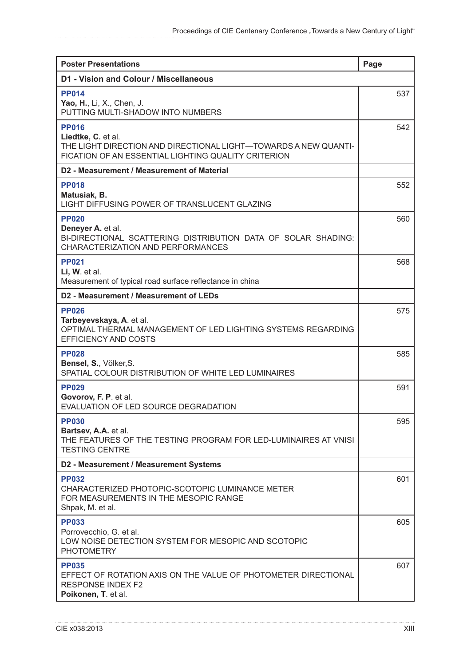| <b>Poster Presentations</b>                                                                                                                                  | Page |
|--------------------------------------------------------------------------------------------------------------------------------------------------------------|------|
| D1 - Vision and Colour / Miscellaneous                                                                                                                       |      |
| <b>PP014</b><br>Yao, H., Li, X., Chen, J.<br>PUTTING MULTI-SHADOW INTO NUMBERS                                                                               | 537  |
| <b>PP016</b><br>Liedtke, C. et al.<br>THE LIGHT DIRECTION AND DIRECTIONAL LIGHT-TOWARDS A NEW QUANTI-<br>FICATION OF AN ESSENTIAL LIGHTING QUALITY CRITERION | 542  |
| D2 - Measurement / Measurement of Material                                                                                                                   |      |
| <b>PP018</b><br>Matusiak, B.<br>LIGHT DIFFUSING POWER OF TRANSLUCENT GLAZING                                                                                 | 552  |
| <b>PP020</b><br>Deneyer A. et al.<br>BI-DIRECTIONAL SCATTERING DISTRIBUTION DATA OF SOLAR SHADING:<br>CHARACTERIZATION AND PERFORMANCES                      | 560  |
| <b>PP021</b><br>Li, W. et al.<br>Measurement of typical road surface reflectance in china                                                                    | 568  |
| D2 - Measurement / Measurement of LEDs                                                                                                                       |      |
| <b>PP026</b><br>Tarbeyevskaya, A. et al.<br>OPTIMAL THERMAL MANAGEMENT OF LED LIGHTING SYSTEMS REGARDING<br><b>EFFICIENCY AND COSTS</b>                      | 575  |
| <b>PP028</b><br>Bensel, S., Völker, S.<br>SPATIAL COLOUR DISTRIBUTION OF WHITE LED LUMINAIRES                                                                | 585  |
| <b>PP029</b><br>Govorov, F. P. et al.<br>EVALUATION OF LED SOURCE DEGRADATION                                                                                | 591  |
| <b>PP030</b><br>Bartsev, A.A. et al.<br>THE FEATURES OF THE TESTING PROGRAM FOR LED-LUMINAIRES AT VNISI<br><b>TESTING CENTRE</b>                             | 595  |
| D2 - Measurement / Measurement Systems                                                                                                                       |      |
| <b>PP032</b><br>CHARACTERIZED PHOTOPIC-SCOTOPIC LUMINANCE METER<br>FOR MEASUREMENTS IN THE MESOPIC RANGE<br>Shpak, M. et al.                                 | 601  |
| <b>PP033</b><br>Porrovecchio, G. et al.<br>LOW NOISE DETECTION SYSTEM FOR MESOPIC AND SCOTOPIC<br><b>PHOTOMETRY</b>                                          | 605  |
| <b>PP035</b><br>EFFECT OF ROTATION AXIS ON THE VALUE OF PHOTOMETER DIRECTIONAL<br><b>RESPONSE INDEX F2</b><br>Poikonen, T. et al.                            | 607  |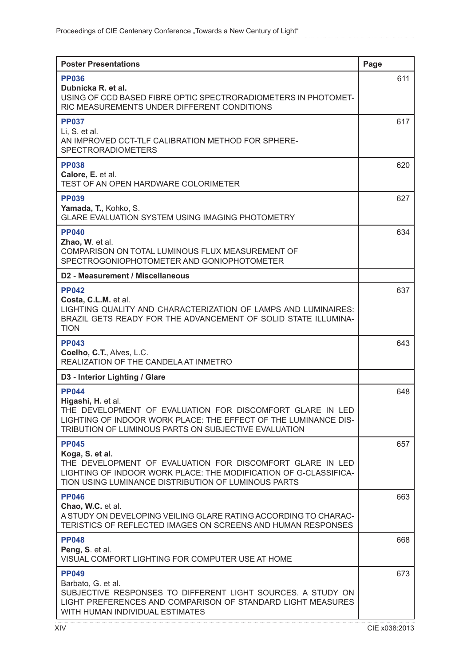| <b>Poster Presentations</b>                                                                                                                                                                                                | Page |
|----------------------------------------------------------------------------------------------------------------------------------------------------------------------------------------------------------------------------|------|
| <b>PP036</b><br>Dubnicka R. et al.<br>USING OF CCD BASED FIBRE OPTIC SPECTRORADIOMETERS IN PHOTOMET-<br>RIC MEASUREMENTS UNDER DIFFERENT CONDITIONS                                                                        | 611  |
| <b>PP037</b><br>Li, S. et al.<br>AN IMPROVED CCT-TLF CALIBRATION METHOD FOR SPHERE-<br><b>SPECTRORADIOMETERS</b>                                                                                                           | 617  |
| <b>PP038</b><br>Calore, E. et al.<br>TEST OF AN OPEN HARDWARE COLORIMETER                                                                                                                                                  | 620  |
| <b>PP039</b><br>Yamada, T., Kohko, S.<br><b>GLARE EVALUATION SYSTEM USING IMAGING PHOTOMETRY</b>                                                                                                                           | 627  |
| <b>PP040</b><br>Zhao, W. et al.<br>COMPARISON ON TOTAL LUMINOUS FLUX MEASUREMENT OF<br>SPECTROGONIOPHOTOMETER AND GONIOPHOTOMETER                                                                                          | 634  |
| D2 - Measurement / Miscellaneous                                                                                                                                                                                           |      |
| <b>PP042</b><br>Costa, C.L.M. et al.<br>LIGHTING QUALITY AND CHARACTERIZATION OF LAMPS AND LUMINAIRES:<br>BRAZIL GETS READY FOR THE ADVANCEMENT OF SOLID STATE ILLUMINA-<br><b>TION</b>                                    | 637  |
| <b>PP043</b><br>Coelho, C.T., Alves, L.C.<br>REALIZATION OF THE CANDELA AT INMETRO                                                                                                                                         | 643  |
| D3 - Interior Lighting / Glare                                                                                                                                                                                             |      |
| <b>PP044</b><br>Higashi, H. et al.<br>THE DEVELOPMENT OF EVALUATION FOR DISCOMFORT GLARE IN LED<br>LIGHTING OF INDOOR WORK PLACE: THE EFFECT OF THE LUMINANCE DIS-<br>TRIBUTION OF LUMINOUS PARTS ON SUBJECTIVE EVALUATION | 648  |
| <b>PP045</b><br>Koga, S. et al.<br>THE DEVELOPMENT OF EVALUATION FOR DISCOMFORT GLARE IN LED<br>LIGHTING OF INDOOR WORK PLACE: THE MODIFICATION OF G-CLASSIFICA-<br>TION USING LUMINANCE DISTRIBUTION OF LUMINOUS PARTS    | 657  |
| <b>PP046</b><br>Chao, W.C. et al.<br>A STUDY ON DEVELOPING VEILING GLARE RATING ACCORDING TO CHARAC-<br>TERISTICS OF REFLECTED IMAGES ON SCREENS AND HUMAN RESPONSES                                                       | 663  |
| <b>PP048</b><br>Peng, S. et al.<br>VISUAL COMFORT LIGHTING FOR COMPUTER USE AT HOME                                                                                                                                        | 668  |
| <b>PP049</b><br>Barbato, G. et al.<br>SUBJECTIVE RESPONSES TO DIFFERENT LIGHT SOURCES. A STUDY ON<br>LIGHT PREFERENCES AND COMPARISON OF STANDARD LIGHT MEASURES<br>WITH HUMAN INDIVIDUAL ESTIMATES                        | 673  |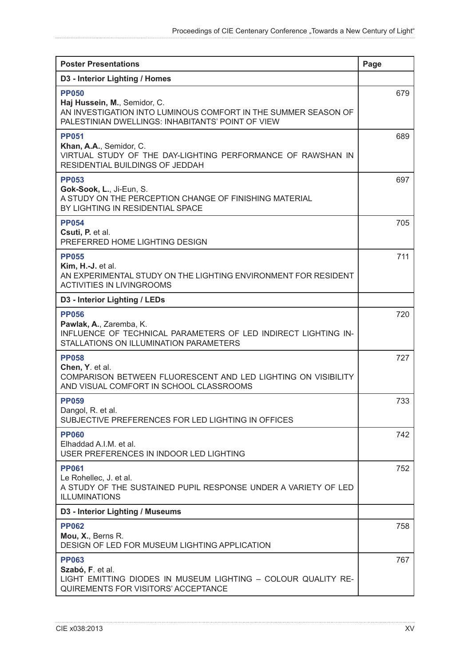| <b>Poster Presentations</b>                                                                                                                                         | Page |
|---------------------------------------------------------------------------------------------------------------------------------------------------------------------|------|
| D3 - Interior Lighting / Homes                                                                                                                                      |      |
| <b>PP050</b><br>Haj Hussein, M., Semidor, C.<br>AN INVESTIGATION INTO LUMINOUS COMFORT IN THE SUMMER SEASON OF<br>PALESTINIAN DWELLINGS: INHABITANTS' POINT OF VIEW | 679  |
| <b>PP051</b><br>Khan, A.A., Semidor, C.<br>VIRTUAL STUDY OF THE DAY-LIGHTING PERFORMANCE OF RAWSHAN IN<br>RESIDENTIAL BUILDINGS OF JEDDAH                           | 689  |
| <b>PP053</b><br>Gok-Sook, L., Ji-Eun, S.<br>A STUDY ON THE PERCEPTION CHANGE OF FINISHING MATERIAL<br>BY LIGHTING IN RESIDENTIAL SPACE                              | 697  |
| <b>PP054</b><br>Csuti, P. et al.<br>PREFERRED HOME LIGHTING DESIGN                                                                                                  | 705  |
| <b>PP055</b><br>Kim, H.-J. et al.<br>AN EXPERIMENTAL STUDY ON THE LIGHTING ENVIRONMENT FOR RESIDENT<br><b>ACTIVITIES IN LIVINGROOMS</b>                             | 711  |
| D3 - Interior Lighting / LEDs                                                                                                                                       |      |
| <b>PP056</b><br>Pawlak, A., Zaremba, K.<br>INFLUENCE OF TECHNICAL PARAMETERS OF LED INDIRECT LIGHTING IN-<br>STALLATIONS ON ILLUMINATION PARAMETERS                 | 720  |
| <b>PP058</b><br>Chen, Y. et al.<br>COMPARISON BETWEEN FLUORESCENT AND LED LIGHTING ON VISIBILITY<br>AND VISUAL COMFORT IN SCHOOL CLASSROOMS                         | 727  |
| <b>PP059</b><br>Dangol, R. et al.<br>SUBJECTIVE PREFERENCES FOR LED LIGHTING IN OFFICES                                                                             | 733  |
| <b>PP060</b><br>Elhaddad A.I.M. et al.<br>USER PREFERENCES IN INDOOR LED LIGHTING                                                                                   | 742  |
| <b>PP061</b><br>Le Rohellec, J. et al.<br>A STUDY OF THE SUSTAINED PUPIL RESPONSE UNDER A VARIETY OF LED<br><b>ILLUMINATIONS</b>                                    | 752  |
| D3 - Interior Lighting / Museums                                                                                                                                    |      |
| <b>PP062</b><br>Mou, X., Berns R.<br>DESIGN OF LED FOR MUSEUM LIGHTING APPLICATION                                                                                  | 758  |
| <b>PP063</b><br>Szabó, F. et al.<br>LIGHT EMITTING DIODES IN MUSEUM LIGHTING - COLOUR QUALITY RE-<br>QUIREMENTS FOR VISITORS' ACCEPTANCE                            | 767  |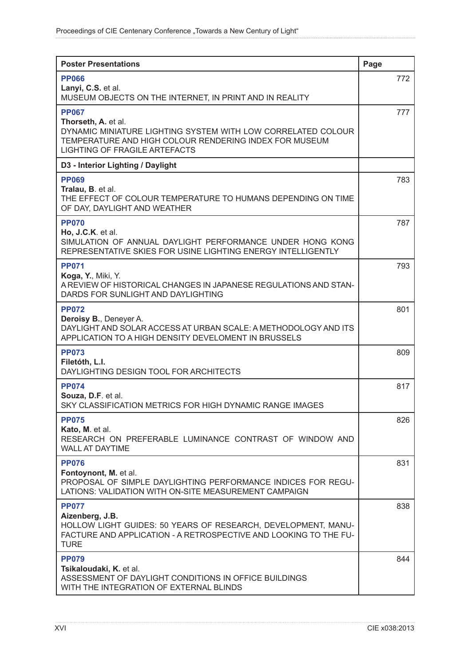| <b>Poster Presentations</b>                                                                                                                                                                           | Page |
|-------------------------------------------------------------------------------------------------------------------------------------------------------------------------------------------------------|------|
| <b>PP066</b><br>Lanyi, C.S. et al.                                                                                                                                                                    | 772  |
| MUSEUM OBJECTS ON THE INTERNET, IN PRINT AND IN REALITY                                                                                                                                               |      |
| <b>PP067</b><br>Thorseth, A. et al.<br>DYNAMIC MINIATURE LIGHTING SYSTEM WITH LOW CORRELATED COLOUR<br>TEMPERATURE AND HIGH COLOUR RENDERING INDEX FOR MUSEUM<br><b>LIGHTING OF FRAGILE ARTEFACTS</b> | 777  |
| D3 - Interior Lighting / Daylight                                                                                                                                                                     |      |
| <b>PP069</b><br>Tralau, B. et al.<br>THE EFFECT OF COLOUR TEMPERATURE TO HUMANS DEPENDING ON TIME<br>OF DAY, DAYLIGHT AND WEATHER                                                                     | 783  |
| <b>PP070</b>                                                                                                                                                                                          | 787  |
| Ho, J.C.K. et al.<br>SIMULATION OF ANNUAL DAYLIGHT PERFORMANCE UNDER HONG KONG<br>REPRESENTATIVE SKIES FOR USINE LIGHTING ENERGY INTELLIGENTLY                                                        |      |
| <b>PP071</b><br>Koga, Y., Miki, Y.<br>A REVIEW OF HISTORICAL CHANGES IN JAPANESE REGULATIONS AND STAN-<br>DARDS FOR SUNLIGHT AND DAYLIGHTING                                                          | 793  |
| <b>PP072</b><br>Deroisy B., Deneyer A.<br>DAYLIGHT AND SOLAR ACCESS AT URBAN SCALE: A METHODOLOGY AND ITS<br>APPLICATION TO A HIGH DENSITY DEVELOMENT IN BRUSSELS                                     | 801  |
| <b>PP073</b><br>Filetóth, L.I.<br>DAYLIGHTING DESIGN TOOL FOR ARCHITECTS                                                                                                                              | 809  |
| <b>PP074</b><br>Souza, D.F. et al.<br>SKY CLASSIFICATION METRICS FOR HIGH DYNAMIC RANGE IMAGES                                                                                                        | 817  |
| <b>PP075</b><br>Kato, M. et al.<br>RESEARCH ON PREFERABLE LUMINANCE CONTRAST OF WINDOW AND<br><b>WALL AT DAYTIME</b>                                                                                  | 826  |
| <b>PP076</b><br>Fontoynont, M. et al.<br>PROPOSAL OF SIMPLE DAYLIGHTING PERFORMANCE INDICES FOR REGU-<br>LATIONS: VALIDATION WITH ON-SITE MEASUREMENT CAMPAIGN                                        | 831  |
| <b>PP077</b><br>Aizenberg, J.B.<br>HOLLOW LIGHT GUIDES: 50 YEARS OF RESEARCH, DEVELOPMENT, MANU-<br>FACTURE AND APPLICATION - A RETROSPECTIVE AND LOOKING TO THE FU-<br><b>TURE</b>                   | 838  |
| <b>PP079</b><br>Tsikaloudaki, K. et al.<br>ASSESSMENT OF DAYLIGHT CONDITIONS IN OFFICE BUILDINGS<br>WITH THE INTEGRATION OF EXTERNAL BLINDS                                                           | 844  |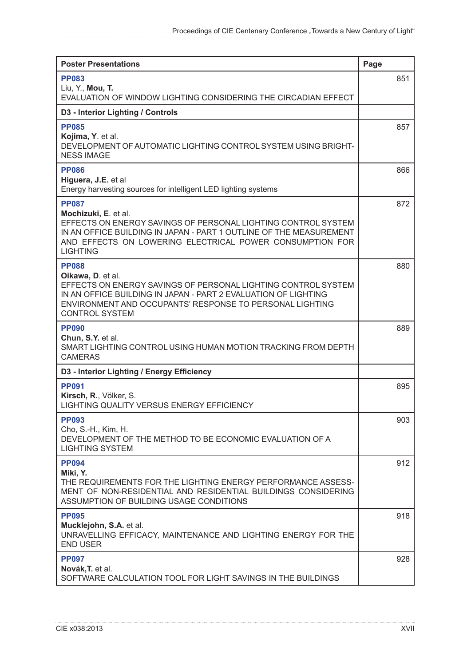| <b>Poster Presentations</b>                                                                                                                                                                                                                                | Page |
|------------------------------------------------------------------------------------------------------------------------------------------------------------------------------------------------------------------------------------------------------------|------|
| <b>PP083</b>                                                                                                                                                                                                                                               | 851  |
| Liu, Y., Mou, T.<br>EVALUATION OF WINDOW LIGHTING CONSIDERING THE CIRCADIAN EFFECT                                                                                                                                                                         |      |
| D3 - Interior Lighting / Controls                                                                                                                                                                                                                          |      |
| <b>PP085</b><br>Kojima, Y. et al.<br>DEVELOPMENT OF AUTOMATIC LIGHTING CONTROL SYSTEM USING BRIGHT-<br><b>NESS IMAGE</b>                                                                                                                                   | 857  |
| <b>PP086</b><br>Higuera, J.E. et al<br>Energy harvesting sources for intelligent LED lighting systems                                                                                                                                                      | 866  |
| <b>PP087</b><br>Mochizuki, E. et al.<br>EFFECTS ON ENERGY SAVINGS OF PERSONAL LIGHTING CONTROL SYSTEM<br>IN AN OFFICE BUILDING IN JAPAN - PART 1 OUTLINE OF THE MEASUREMENT<br>AND EFFECTS ON LOWERING ELECTRICAL POWER CONSUMPTION FOR<br><b>LIGHTING</b> | 872  |
| <b>PP088</b><br>Oikawa, D. et al.<br>EFFECTS ON ENERGY SAVINGS OF PERSONAL LIGHTING CONTROL SYSTEM<br>IN AN OFFICE BUILDING IN JAPAN - PART 2 EVALUATION OF LIGHTING<br>ENVIRONMENT AND OCCUPANTS' RESPONSE TO PERSONAL LIGHTING<br><b>CONTROL SYSTEM</b>  | 880  |
| <b>PP090</b><br>Chun, S.Y. et al.<br>SMART LIGHTING CONTROL USING HUMAN MOTION TRACKING FROM DEPTH<br><b>CAMERAS</b>                                                                                                                                       | 889  |
| D3 - Interior Lighting / Energy Efficiency                                                                                                                                                                                                                 |      |
| <b>PP091</b><br>Kirsch, R., Völker, S.<br><b>LIGHTING QUALITY VERSUS ENERGY EFFICIENCY</b>                                                                                                                                                                 | 895  |
| <b>PP093</b><br>Cho, S.-H., Kim, H.<br>DEVELOPMENT OF THE METHOD TO BE ECONOMIC EVALUATION OF A<br><b>LIGHTING SYSTEM</b>                                                                                                                                  | 903  |
| <b>PP094</b><br>Miki, Y.<br>THE REQUIREMENTS FOR THE LIGHTING ENERGY PERFORMANCE ASSESS-<br>MENT OF NON-RESIDENTIAL AND RESIDENTIAL BUILDINGS CONSIDERING<br>ASSUMPTION OF BUILDING USAGE CONDITIONS                                                       | 912  |
| <b>PP095</b><br>Mucklejohn, S.A. et al.<br>UNRAVELLING EFFICACY, MAINTENANCE AND LIGHTING ENERGY FOR THE<br><b>END USER</b>                                                                                                                                | 918  |
| <b>PP097</b><br>Novák, T. et al.<br>SOFTWARE CALCULATION TOOL FOR LIGHT SAVINGS IN THE BUILDINGS                                                                                                                                                           | 928  |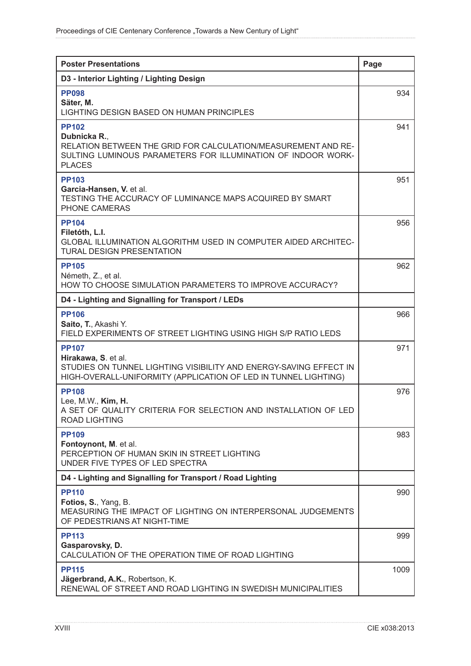| <b>Poster Presentations</b>                                                                                                                                                    | Page |
|--------------------------------------------------------------------------------------------------------------------------------------------------------------------------------|------|
| D3 - Interior Lighting / Lighting Design                                                                                                                                       |      |
| <b>PP098</b><br>Säter, M.<br>LIGHTING DESIGN BASED ON HUMAN PRINCIPLES                                                                                                         | 934  |
| <b>PP102</b><br>Dubnicka R.,<br>RELATION BETWEEN THE GRID FOR CALCULATION/MEASUREMENT AND RE-<br>SULTING LUMINOUS PARAMETERS FOR ILLUMINATION OF INDOOR WORK-<br><b>PLACES</b> | 941  |
| <b>PP103</b><br>Garcia-Hansen, V. et al.<br>TESTING THE ACCURACY OF LUMINANCE MAPS ACQUIRED BY SMART<br>PHONE CAMERAS                                                          | 951  |
| <b>PP104</b><br>Filetóth, L.I.<br>GLOBAL ILLUMINATION ALGORITHM USED IN COMPUTER AIDED ARCHITEC-<br><b>TURAL DESIGN PRESENTATION</b>                                           | 956  |
| <b>PP105</b><br>Németh, Z., et al.<br>HOW TO CHOOSE SIMULATION PARAMETERS TO IMPROVE ACCURACY?                                                                                 | 962  |
| D4 - Lighting and Signalling for Transport / LEDs                                                                                                                              |      |
| <b>PP106</b><br>Saito, T., Akashi Y.<br>FIELD EXPERIMENTS OF STREET LIGHTING USING HIGH S/P RATIO LEDS                                                                         | 966  |
| <b>PP107</b><br>Hirakawa, S. et al.<br>STUDIES ON TUNNEL LIGHTING VISIBILITY AND ENERGY-SAVING EFFECT IN<br>HIGH-OVERALL-UNIFORMITY (APPLICATION OF LED IN TUNNEL LIGHTING)    | 971  |
| <b>PP108</b><br>Lee, M.W., Kim, H.<br>A SET OF QUALITY CRITERIA FOR SELECTION AND INSTALLATION OF LED<br><b>ROAD LIGHTING</b>                                                  | 976  |
| <b>PP109</b><br>Fontoynont, M. et al.<br>PERCEPTION OF HUMAN SKIN IN STREET LIGHTING<br>UNDER FIVE TYPES OF LED SPECTRA                                                        | 983  |
| D4 - Lighting and Signalling for Transport / Road Lighting                                                                                                                     |      |
| <b>PP110</b><br>Fotios, S., Yang, B.<br>MEASURING THE IMPACT OF LIGHTING ON INTERPERSONAL JUDGEMENTS<br>OF PEDESTRIANS AT NIGHT-TIME                                           | 990  |
| <b>PP113</b><br>Gasparovsky, D.<br>CALCULATION OF THE OPERATION TIME OF ROAD LIGHTING                                                                                          | 999  |
| <b>PP115</b><br>Jägerbrand, A.K., Robertson, K.<br>RENEWAL OF STREET AND ROAD LIGHTING IN SWEDISH MUNICIPALITIES                                                               | 1009 |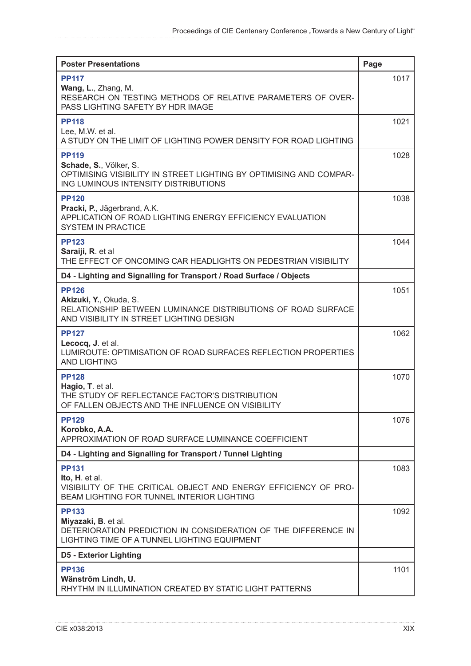| <b>Poster Presentations</b>                                                                                                                           | Page |
|-------------------------------------------------------------------------------------------------------------------------------------------------------|------|
| <b>PP117</b><br>Wang, L., Zhang, M.<br>RESEARCH ON TESTING METHODS OF RELATIVE PARAMETERS OF OVER-<br>PASS LIGHTING SAFETY BY HDR IMAGE               | 1017 |
| <b>PP118</b><br>Lee, M.W. et al.<br>A STUDY ON THE LIMIT OF LIGHTING POWER DENSITY FOR ROAD LIGHTING                                                  | 1021 |
| <b>PP119</b><br>Schade, S., Völker, S.<br>OPTIMISING VISIBILITY IN STREET LIGHTING BY OPTIMISING AND COMPAR-<br>ING LUMINOUS INTENSITY DISTRIBUTIONS  | 1028 |
| <b>PP120</b><br>Pracki, P., Jägerbrand, A.K.<br>APPLICATION OF ROAD LIGHTING ENERGY EFFICIENCY EVALUATION<br><b>SYSTEM IN PRACTICE</b>                | 1038 |
| <b>PP123</b><br>Saraiji, R. et al<br>THE EFFECT OF ONCOMING CAR HEADLIGHTS ON PEDESTRIAN VISIBILITY                                                   | 1044 |
| D4 - Lighting and Signalling for Transport / Road Surface / Objects                                                                                   |      |
| <b>PP126</b><br>Akizuki, Y., Okuda, S.<br>RELATIONSHIP BETWEEN LUMINANCE DISTRIBUTIONS OF ROAD SURFACE<br>AND VISIBILITY IN STREET LIGHTING DESIGN    | 1051 |
| <b>PP127</b><br>Lecocq, J. et al.<br>LUMIROUTE: OPTIMISATION OF ROAD SURFACES REFLECTION PROPERTIES<br><b>AND LIGHTING</b>                            | 1062 |
| <b>PP128</b><br>Hagio, T. et al.<br>THE STUDY OF REFLECTANCE FACTOR'S DISTRIBUTION<br>OF FALLEN OBJECTS AND THE INFLUENCE ON VISIBILITY               | 1070 |
| <b>PP129</b><br>Korobko, A.A.<br>APPROXIMATION OF ROAD SURFACE LUMINANCE COEFFICIENT                                                                  | 1076 |
| D4 - Lighting and Signalling for Transport / Tunnel Lighting                                                                                          |      |
| <b>PP131</b><br>Ito, H. et al.<br>VISIBILITY OF THE CRITICAL OBJECT AND ENERGY EFFICIENCY OF PRO-<br>BEAM LIGHTING FOR TUNNEL INTERIOR LIGHTING       | 1083 |
| <b>PP133</b><br>Miyazaki, B. et al.<br>DETERIORATION PREDICTION IN CONSIDERATION OF THE DIFFERENCE IN<br>LIGHTING TIME OF A TUNNEL LIGHTING EQUIPMENT | 1092 |
| <b>D5 - Exterior Lighting</b>                                                                                                                         |      |
| <b>PP136</b><br>Wänström Lindh, U.<br>RHYTHM IN ILLUMINATION CREATED BY STATIC LIGHT PATTERNS                                                         | 1101 |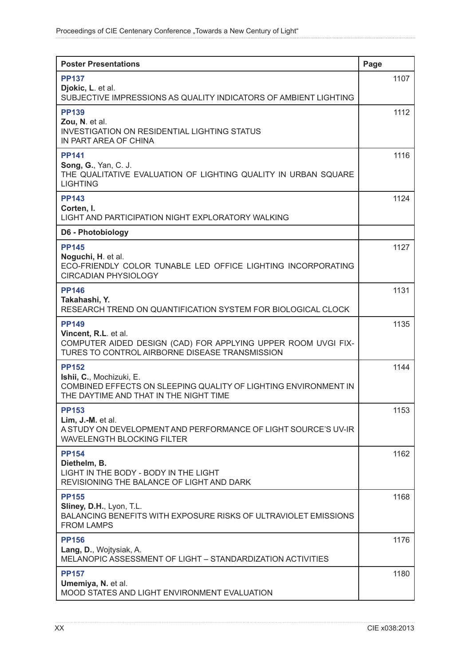| <b>Poster Presentations</b>                                                                   | Page |
|-----------------------------------------------------------------------------------------------|------|
| <b>PP137</b>                                                                                  | 1107 |
| Djokic, L. et al.<br>SUBJECTIVE IMPRESSIONS AS QUALITY INDICATORS OF AMBIENT LIGHTING         |      |
| <b>PP139</b>                                                                                  | 1112 |
| Zou, N. et al.<br><b>INVESTIGATION ON RESIDENTIAL LIGHTING STATUS</b>                         |      |
| IN PART AREA OF CHINA                                                                         |      |
| <b>PP141</b>                                                                                  | 1116 |
| <b>Song, G., Yan, C. J.</b><br>THE QUALITATIVE EVALUATION OF LIGHTING QUALITY IN URBAN SQUARE |      |
| <b>LIGHTING</b>                                                                               |      |
| <b>PP143</b><br>Corten, I.                                                                    | 1124 |
| LIGHT AND PARTICIPATION NIGHT EXPLORATORY WALKING                                             |      |
| D6 - Photobiology                                                                             |      |
| <b>PP145</b>                                                                                  | 1127 |
| Noguchi, H. et al.<br>ECO-FRIENDLY COLOR TUNABLE LED OFFICE LIGHTING INCORPORATING            |      |
| <b>CIRCADIAN PHYSIOLOGY</b>                                                                   |      |
| <b>PP146</b>                                                                                  | 1131 |
| Takahashi, Y.<br>RESEARCH TREND ON QUANTIFICATION SYSTEM FOR BIOLOGICAL CLOCK                 |      |
| <b>PP149</b>                                                                                  | 1135 |
| Vincent, R.L. et al.<br>COMPUTER AIDED DESIGN (CAD) FOR APPLYING UPPER ROOM UVGI FIX-         |      |
| TURES TO CONTROL AIRBORNE DISEASE TRANSMISSION                                                |      |
| <b>PP152</b>                                                                                  | 1144 |
| Ishii, C., Mochizuki, E.<br>COMBINED EFFECTS ON SLEEPING QUALITY OF LIGHTING ENVIRONMENT IN   |      |
| THE DAYTIME AND THAT IN THE NIGHT TIME                                                        |      |
| <b>PP153</b><br>Lim, J.-M. et al.                                                             | 1153 |
| A STUDY ON DEVELOPMENT AND PERFORMANCE OF LIGHT SOURCE'S UV-IR                                |      |
| <b>WAVELENGTH BLOCKING FILTER</b>                                                             |      |
| <b>PP154</b><br>Diethelm, B.                                                                  | 1162 |
| LIGHT IN THE BODY - BODY IN THE LIGHT                                                         |      |
| REVISIONING THE BALANCE OF LIGHT AND DARK                                                     | 1168 |
| <b>PP155</b><br>Sliney, D.H., Lyon, T.L.                                                      |      |
| BALANCING BENEFITS WITH EXPOSURE RISKS OF ULTRAVIOLET EMISSIONS<br><b>FROM LAMPS</b>          |      |
| <b>PP156</b>                                                                                  | 1176 |
| Lang, D., Wojtysiak, A.                                                                       |      |
| MELANOPIC ASSESSMENT OF LIGHT - STANDARDIZATION ACTIVITIES                                    |      |
| <b>PP157</b><br>Umemiya, N. et al.                                                            | 1180 |
| MOOD STATES AND LIGHT ENVIRONMENT EVALUATION                                                  |      |